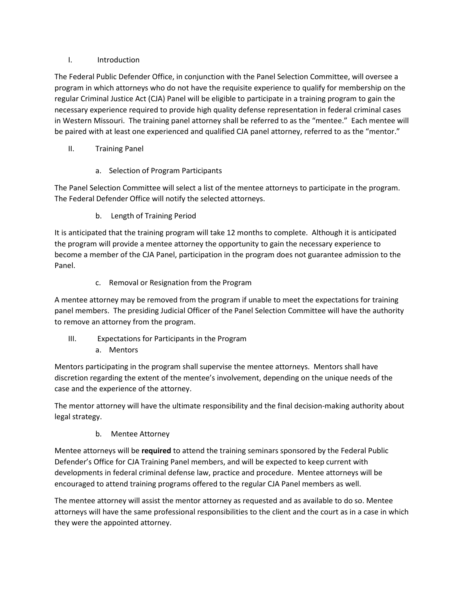## I. Introduction

The Federal Public Defender Office, in conjunction with the Panel Selection Committee, will oversee a program in which attorneys who do not have the requisite experience to qualify for membership on the regular Criminal Justice Act (CJA) Panel will be eligible to participate in a training program to gain the necessary experience required to provide high quality defense representation in federal criminal cases in Western Missouri. The training panel attorney shall be referred to as the "mentee." Each mentee will be paired with at least one experienced and qualified CJA panel attorney, referred to as the "mentor."

- II. Training Panel
	- a. Selection of Program Participants

The Panel Selection Committee will select a list of the mentee attorneys to participate in the program. The Federal Defender Office will notify the selected attorneys.

b. Length of Training Period

It is anticipated that the training program will take 12 months to complete. Although it is anticipated the program will provide a mentee attorney the opportunity to gain the necessary experience to become a member of the CJA Panel, participation in the program does not guarantee admission to the Panel.

c. Removal or Resignation from the Program

A mentee attorney may be removed from the program if unable to meet the expectations for training panel members. The presiding Judicial Officer of the Panel Selection Committee will have the authority to remove an attorney from the program.

- III. Expectations for Participants in the Program
	- a. Mentors

Mentors participating in the program shall supervise the mentee attorneys. Mentors shall have discretion regarding the extent of the mentee's involvement, depending on the unique needs of the case and the experience of the attorney.

The mentor attorney will have the ultimate responsibility and the final decision-making authority about legal strategy.

b. Mentee Attorney

Mentee attorneys will be **required** to attend the training seminars sponsored by the Federal Public Defender's Office for CJA Training Panel members, and will be expected to keep current with developments in federal criminal defense law, practice and procedure. Mentee attorneys will be encouraged to attend training programs offered to the regular CJA Panel members as well.

The mentee attorney will assist the mentor attorney as requested and as available to do so. Mentee attorneys will have the same professional responsibilities to the client and the court as in a case in which they were the appointed attorney.